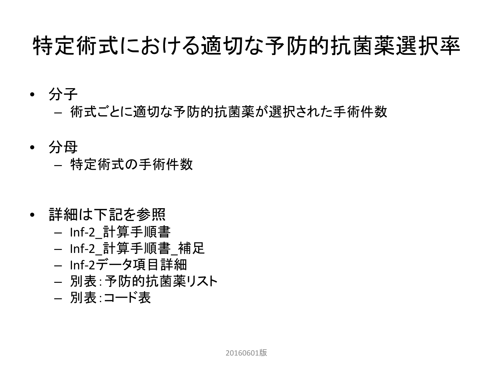### 特定術式における適切な予防的抗菌薬選択率

- 分子
	- 術式ごとに適切な予防的抗菌薬が選択された手術件数
- 分母 – 特定術式の手術件数
- 詳細は下記を参照
	- Inf-2\_計算手順書
	- Inf-2\_計算手順書\_補足
	- Inf-2データ項目詳細
	- 別表:予防的抗菌薬リスト
	- 別表:コード表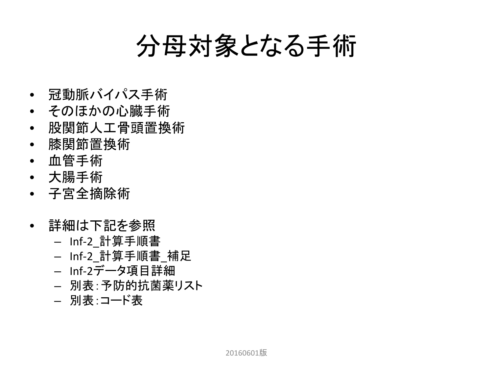### 分母対象となる手術

- 冠動脈バイパス手術
- そのほかの心臓手術
- 股関節人工骨頭置換術
- 膝関節置換術
- 血管手術
- 大腸手術
- 子宮全摘除術
- 詳細は下記を参照
	- Inf-2\_計算手順書
	- Inf-2\_計算手順書\_補足
	- Inf-2データ項目詳細
	- 別表:予防的抗菌薬リスト
	- 別表:コード表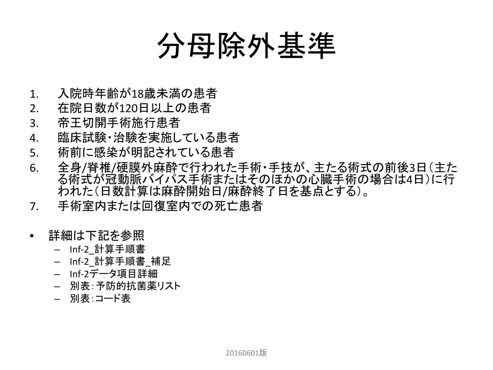## 分母除外基準

- 1. 入院時年齢が18歳未満の患者
- 2. 在院日数が120日以上の患者
- 3. 帝王切開手術施行患者
- 4. 臨床試験・治験を実施している患者
- 5. 術前に感染が明記されている患者
- 6. 全身/脊椎/硬膜外麻酔で行われた手術・手技が、主たる術式の前後3日(主た る術式が冠動脈バイパス手術またはそのほかの心臓手術の場合は4日)に行 われた(日数計算は麻酔開始日/麻酔終了日を基点とする)。
- 7. 手術室内または回復室内での死亡患者
- 詳細は下記を参照
	- Inf-2\_計算手順書
	- Inf-2\_計算手順書\_補足
	- Inf-2データ項目詳細
	- 別表:予防的抗菌薬リスト
	- 別表:コード表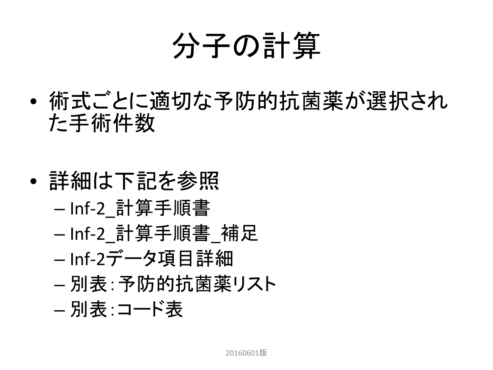# 分子の計算

- 術式ごとに適切な予防的抗菌薬が選択され た手術件数
- 詳細は下記を参照 – Inf-2\_計算手順書 – Inf-2\_計算手順書\_補足 – Inf-2データ項目詳細 – 別表:予防的抗菌薬リスト – 別表:コード表